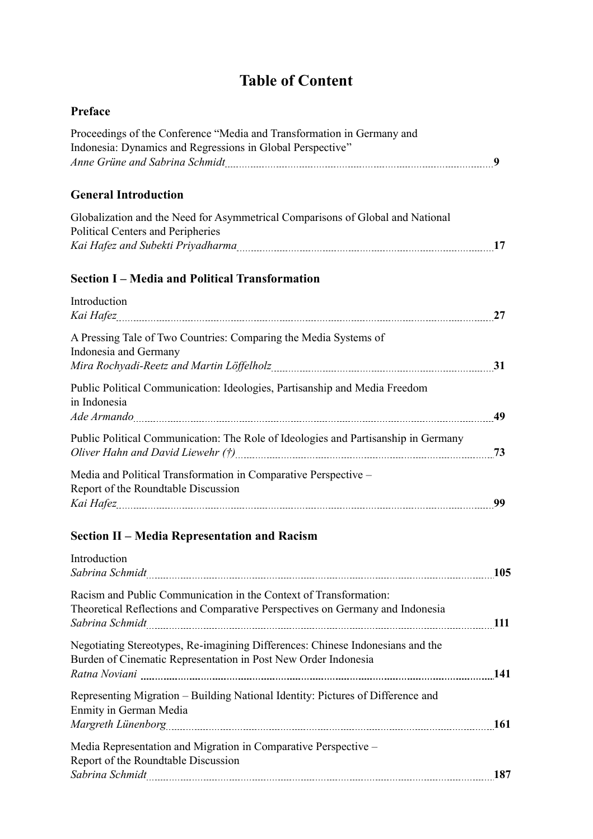## **Table of Content**

| Preface                                                                                                                                            |  |
|----------------------------------------------------------------------------------------------------------------------------------------------------|--|
| Proceedings of the Conference "Media and Transformation in Germany and<br>Indonesia: Dynamics and Regressions in Global Perspective"               |  |
| <b>General Introduction</b>                                                                                                                        |  |
| Globalization and the Need for Asymmetrical Comparisons of Global and National<br>Political Centers and Peripheries                                |  |
| <b>Section I – Media and Political Transformation</b>                                                                                              |  |
| Introduction                                                                                                                                       |  |
| A Pressing Tale of Two Countries: Comparing the Media Systems of<br>Indonesia and Germany                                                          |  |
| Public Political Communication: Ideologies, Partisanship and Media Freedom<br>in Indonesia                                                         |  |
| Public Political Communication: The Role of Ideologies and Partisanship in Germany                                                                 |  |
| Media and Political Transformation in Comparative Perspective -<br>Report of the Roundtable Discussion                                             |  |
| Section II - Media Representation and Racism                                                                                                       |  |
| Introduction                                                                                                                                       |  |
| Racism and Public Communication in the Context of Transformation:<br>Theoretical Reflections and Comparative Perspectives on Germany and Indonesia |  |
| Negotiating Stereotypes, Re-imagining Differences: Chinese Indonesians and the<br>Burden of Cinematic Representation in Post New Order Indonesia   |  |
| Representing Migration - Building National Identity: Pictures of Difference and<br>Enmity in German Media                                          |  |
| Media Representation and Migration in Comparative Perspective –<br>Report of the Roundtable Discussion                                             |  |
|                                                                                                                                                    |  |